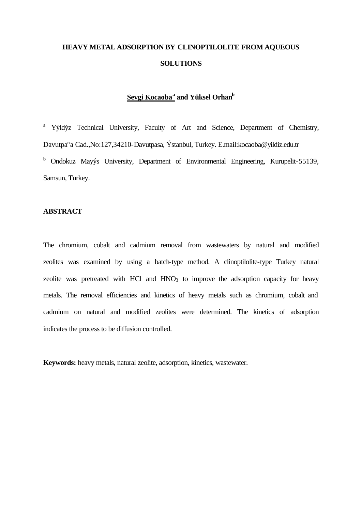# **HEAVY METAL ADSORPTION BY CLINOPTILOLITE FROM AQUEOUS SOLUTIONS**

## **Sevgi Kocaoba<sup>a</sup> and Yüksel Orhan<sup>b</sup>**

<sup>a</sup> Yýldýz Technical University, Faculty of Art and Science, Department of Chemistry, Davutpaºa Cad.,No:127,34210-Davutpasa, Ýstanbul, Turkey. E.mail:kocaoba@yildiz.edu.tr <sup>b</sup> Ondokuz Mayýs University, Department of Environmental Engineering, Kurupelit-55139, Samsun, Turkey.

#### **ABSTRACT**

The chromium, cobalt and cadmium removal from wastewaters by natural and modified zeolites was examined by using a batch-type method. A clinoptilolite-type Turkey natural zeolite was pretreated with HCl and  $HNO<sub>3</sub>$  to improve the adsorption capacity for heavy metals. The removal efficiencies and kinetics of heavy metals such as chromium, cobalt and cadmium on natural and modified zeolites were determined. The kinetics of adsorption indicates the process to be diffusion controlled.

**Keywords:** heavy metals, natural zeolite, adsorption, kinetics, wastewater.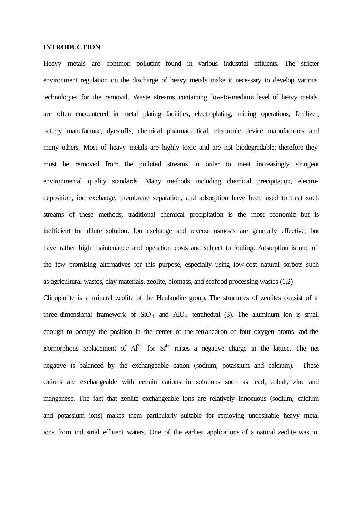## **INTRODUCTION**

Heavy metals are common pollutant found in various industrial effluents. The stricter environment regulation on the discharge of heavy metals make it necessary to develop various technologies for the removal. Waste streams containing low-to-medium level of heavy metals are often encountered in metal plating facilities, electroplating, mining operations, fertilizer, battery manufacture, dyestuffs, chemical pharmaceutical, electronic device manufactures and many others. Most of heavy metals are highly toxic and are not biodegradable; therefore they must be removed from the polluted streams in order to meet increasingly stringent environmental quality standards. Many methods including chemical precipitation, electrodeposition, ion exchange, membrane separation, and adsorption have been used to treat such streams of these methods, traditional chemical precipitation is the most economic but is inefficient for dilute solution. Ion exchange and reverse osmosis are generally effective, but have rather high maintenance and operation costs and subject to fouling. Adsorption is one of the few promising alternatives for this purpose, especially using low-cost natural sorbets such as agricultural wastes, clay materials, zeolite, biomass, and seafood processing wastes (1,2)

Clinoplolite is a mineral zeolite of the Heulandite group. The structures of zeolites consist of a three-dimensional framework of  $SiO<sub>4</sub>$  and  $AlO<sub>4</sub>$  tetrahedral (3). The aluminum ion is small enough to occupy the position in the center of the tetrahedron of four oxygen atoms, and the isomorphous replacement of  $Al^{3+}$  for  $Sl^{4+}$  raises a negative charge in the lattice. The net negative is balanced by the exchangeable cation (sodium, potassium and calcium). These cations are exchangeable with certain cations in solutions such as lead, cobalt, zinc and manganese. The fact that zeolite exchangeable ions are relatively innocuous (sodium, calcium and potassium ions) makes them particularly suitable for removing undesirable heavy metal ions from industrial effluent waters. One of the earliest applications of a natural zeolite was in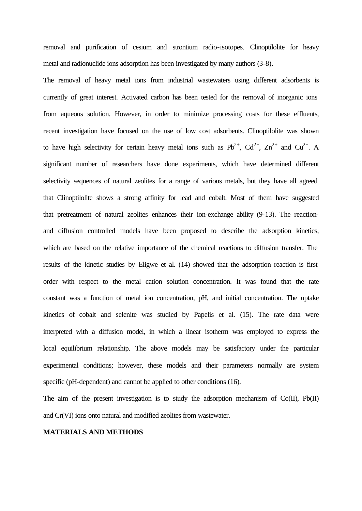removal and purification of cesium and strontium radio-isotopes. Clinoptilolite for heavy metal and radionuclide ions adsorption has been investigated by many authors (3-8).

The removal of heavy metal ions from industrial wastewaters using different adsorbents is currently of great interest. Activated carbon has been tested for the removal of inorganic ions from aqueous solution. However, in order to minimize processing costs for these effluents, recent investigation have focused on the use of low cost adsorbents. Clinoptilolite was shown to have high selectivity for certain heavy metal ions such as  $Pb^{2+}$ ,  $Cd^{2+}$ ,  $Zn^{2+}$  and  $Cu^{2+}$ . A significant number of researchers have done experiments, which have determined different selectivity sequences of natural zeolites for a range of various metals, but they have all agreed that Clinoptilolite shows a strong affinity for lead and cobalt. Most of them have suggested that pretreatment of natural zeolites enhances their ion-exchange ability (9-13). The reactionand diffusion controlled models have been proposed to describe the adsorption kinetics, which are based on the relative importance of the chemical reactions to diffusion transfer. The results of the kinetic studies by Eligwe et al. (14) showed that the adsorption reaction is first order with respect to the metal cation solution concentration. It was found that the rate constant was a function of metal ion concentration, pH, and initial concentration. The uptake kinetics of cobalt and selenite was studied by Papelis et al. (15). The rate data were interpreted with a diffusion model, in which a linear isotherm was employed to express the local equilibrium relationship. The above models may be satisfactory under the particular experimental conditions; however, these models and their parameters normally are system specific (pH-dependent) and cannot be applied to other conditions (16).

The aim of the present investigation is to study the adsorption mechanism of  $Co(II)$ ,  $Pb(II)$ and Cr(VI) ions onto natural and modified zeolites from wastewater.

#### **MATERIALS AND METHODS**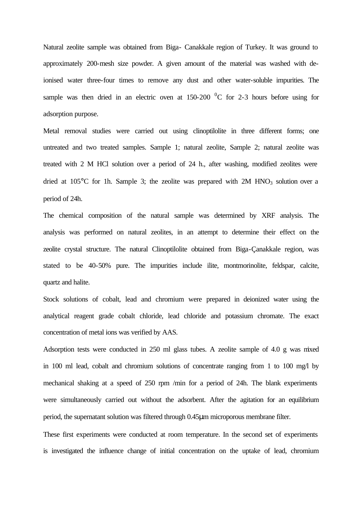Natural zeolite sample was obtained from Biga- Canakkale region of Turkey. It was ground to approximately 200-mesh size powder. A given amount of the material was washed with deionised water three-four times to remove any dust and other water-soluble impurities. The sample was then dried in an electric oven at  $150-200$  <sup>0</sup>C for 2-3 hours before using for adsorption purpose.

Metal removal studies were carried out using clinoptilolite in three different forms; one untreated and two treated samples. Sample 1; natural zeolite, Sample 2; natural zeolite was treated with 2 M HCl solution over a period of 24 h., after washing, modified zeolites were dried at  $105^{\circ}$ C for 1h. Sample 3; the zeolite was prepared with 2M HNO<sub>3</sub> solution over a period of 24h.

The chemical composition of the natural sample was determined by XRF analysis. The analysis was performed on natural zeolites, in an attempt to determine their effect on the zeolite crystal structure. The natural Clinoptilolite obtained from Biga-Çanakkale region, was stated to be 40-50% pure. The impurities include ilite, montmorinolite, feldspar, calcite, quartz and halite.

Stock solutions of cobalt, lead and chromium were prepared in deionized water using the analytical reagent grade cobalt chloride, lead chloride and potassium chromate. The exact concentration of metal ions was verified by AAS.

Adsorption tests were conducted in 250 ml glass tubes. A zeolite sample of 4.0 g was mixed in 100 ml lead, cobalt and chromium solutions of concentrate ranging from 1 to 100 mg/l by mechanical shaking at a speed of 250 rpm /min for a period of 24h. The blank experiments were simultaneously carried out without the adsorbent. After the agitation for an equilibrium period, the supernatant solution was filtered through 0.45μm microporous membrane filter.

These first experiments were conducted at room temperature. In the second set of experiments is investigated the influence change of initial concentration on the uptake of lead, chromium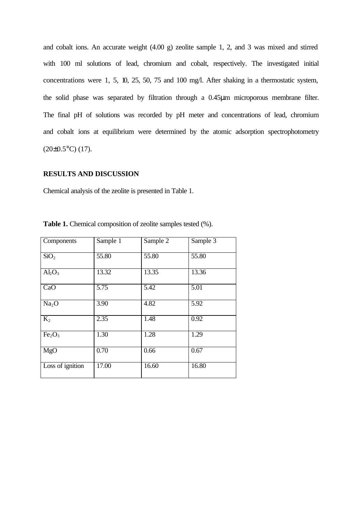and cobalt ions. An accurate weight (4.00 g) zeolite sample 1, 2, and 3 was mixed and stirred with 100 ml solutions of lead, chromium and cobalt, respectively. The investigated initial concentrations were 1, 5, 10, 25, 50, 75 and 100 mg/l. After shaking in a thermostatic system, the solid phase was separated by filtration through a 0.45μm microporous membrane filter. The final pH of solutions was recorded by pH meter and concentrations of lead, chromium and cobalt ions at equilibrium were determined by the atomic adsorption spectrophotometry  $(20\pm0.5\degree C)$  (17).

## **RESULTS AND DISCUSSION**

Chemical analysis of the zeolite is presented in Table 1.

| Components                     | Sample 1          | Sample 2          | Sample 3          |
|--------------------------------|-------------------|-------------------|-------------------|
| SiO <sub>2</sub>               | 55.80             | 55.80             | 55.80             |
| $Al_2O_3$                      | 13.32             | 13.35             | 13.36             |
| CaO                            | $\overline{5.75}$ | $\overline{5.42}$ | $\overline{5.01}$ |
| Na <sub>2</sub> O              | 3.90              | 4.82              | $\overline{5.92}$ |
| $K_2$                          | 2.35              | 1.48              | 0.92              |
| Fe <sub>2</sub> O <sub>3</sub> | 1.30              | 1.28              | 1.29              |
| MgO                            | 0.70              | 0.66              | 0.67              |
| Loss of ignition               | 17.00             | 16.60             | 16.80             |

**Table 1.** Chemical composition of zeolite samples tested (%).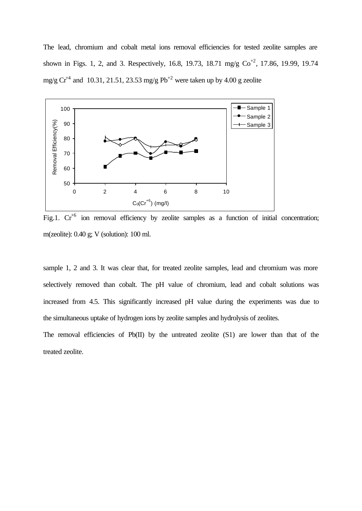The lead, chromium and cobalt metal ions removal efficiencies for tested zeolite samples are shown in Figs. 1, 2, and 3. Respectively, 16.8, 19.73, 18.71 mg/g  $Co^{+2}$ , 17.86, 19.99, 19.74 mg/g  $Cr^{4}$  and 10.31, 21.51, 23.53 mg/g Pb<sup>+2</sup> were taken up by 4.00 g zeolite



Fig.1.  $Cr^{+6}$  ion removal efficiency by zeolite samples as a function of initial concentration; m(zeolite): 0.40 g; V (solution): 100 ml.

sample 1, 2 and 3. It was clear that, for treated zeolite samples, lead and chromium was more selectively removed than cobalt. The pH value of chromium, lead and cobalt solutions was increased from 4.5. This significantly increased pH value during the experiments was due to the simultaneous uptake of hydrogen ions by zeolite samples and hydrolysis of zeolites.

The removal efficiencies of Pb(II) by the untreated zeolite (S1) are lower than that of the treated zeolite.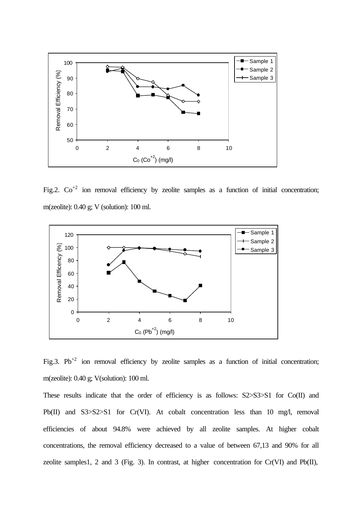

Fig.2.  $Co^{+2}$  ion removal efficiency by zeolite samples as a function of initial concentration; m(zeolite): 0.40 g; V (solution): 100 ml.



Fig.3. Pb<sup>+2</sup> ion removal efficiency by zeolite samples as a function of initial concentration; m(zeolite): 0.40 g; V(solution): 100 ml.

These results indicate that the order of efficiency is as follows: S2>S3>S1 for Co(II) and Pb(II) and S3>S2>S1 for Cr(VI). At cobalt concentration less than 10 mg/l, removal efficiencies of about 94.8% were achieved by all zeolite samples. At higher cobalt concentrations, the removal efficiency decreased to a value of between 67,13 and 90% for all zeolite samples1, 2 and 3 (Fig. 3). In contrast, at higher concentration for  $Cr(VI)$  and  $Pb(II)$ ,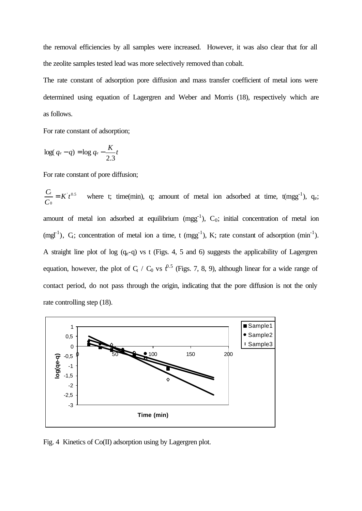the removal efficiencies by all samples were increased. However, it was also clear that for all the zeolite samples tested lead was more selectively removed than cobalt.

The rate constant of adsorption pore diffusion and mass transfer coefficient of metal ions were determined using equation of Lagergren and Weber and Morris (18), respectively which are as follows.

For rate constant of adsorption;

$$
\log(q_e - q) = \log q_e - \frac{K}{2.3}t
$$

For rate constant of pore diffusion;

 $\sim 0.5$ 0 *K t C*  $\frac{C_t}{C} = K't^{0.5}$  where t; time(min), q; amount of metal ion adsorbed at time, t(mgg<sup>-1</sup>), q<sub>e</sub>; amount of metal ion adsorbed at equilibrium  $(mgg^{-1})$ ,  $C_0$ ; initial concentration of metal ion (mgl<sup>-1</sup>),  $C_t$ ; concentration of metal ion a time, t (mgg<sup>-1</sup>), K; rate constant of adsorption (min<sup>-1</sup>). A straight line plot of log  $(q_e-q)$  vs t (Figs. 4, 5 and 6) suggests the applicability of Lagergren equation, however, the plot of  $C_t$  /  $C_0$  vs  $t^{0.5}$  (Figs. 7, 8, 9), although linear for a wide range of contact period, do not pass through the origin, indicating that the pore diffusion is not the only rate controlling step (18).



Fig. 4 Kinetics of Co(II) adsorption using by Lagergren plot.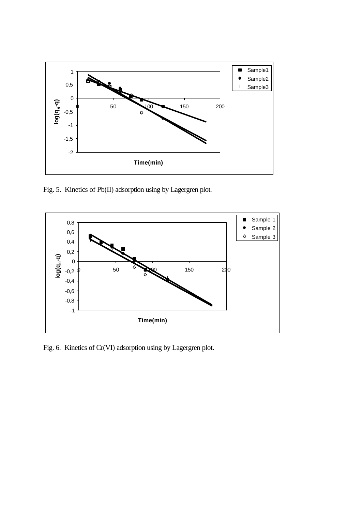

Fig. 5. Kinetics of Pb(II) adsorption using by Lagergren plot.



Fig. 6. Kinetics of Cr(VI) adsorption using by Lagergren plot.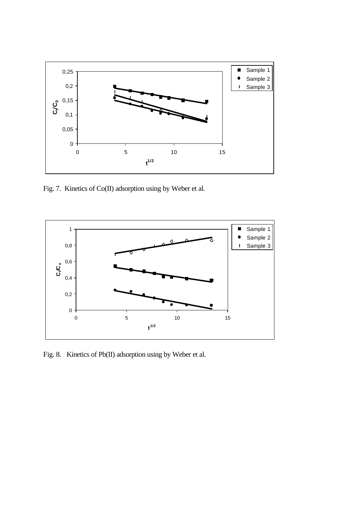

Fig. 7. Kinetics of Co(II) adsorption using by Weber et al.



Fig. 8. Kinetics of Pb(II) adsorption using by Weber et al.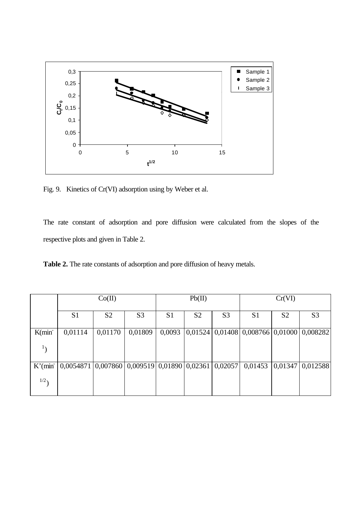

Fig. 9. Kinetics of Cr(VI) adsorption using by Weber et al.

The rate constant of adsorption and pore diffusion were calculated from the slopes of the respective plots and given in Table 2.

**Table 2.** The rate constants of adsorption and pore diffusion of heavy metals.

|                      | Co(II)                                                          |                |                | Pb(II)         |                | Cr(VI)         |                                              |                |                  |
|----------------------|-----------------------------------------------------------------|----------------|----------------|----------------|----------------|----------------|----------------------------------------------|----------------|------------------|
|                      | S <sub>1</sub>                                                  | S <sub>2</sub> | S <sub>3</sub> | S <sub>1</sub> | S <sub>2</sub> | S <sub>3</sub> | S <sub>1</sub>                               | S <sub>2</sub> | S <sub>3</sub>   |
| K(min <sub>1</sub> ] | 0,01114                                                         | 0,01170        | 0,01809        | 0,0093         |                |                | $ 0,01524 0,01408 0,008766 0,01000 0,008282$ |                |                  |
|                      |                                                                 |                |                |                |                |                |                                              |                |                  |
| $K'$ (min            | $0,0054871$   0,007860   0,009519   0,01890   0,02361   0,02057 |                |                |                |                |                | 0,01453                                      |                | 0,01347 0,012588 |
| 1/2                  |                                                                 |                |                |                |                |                |                                              |                |                  |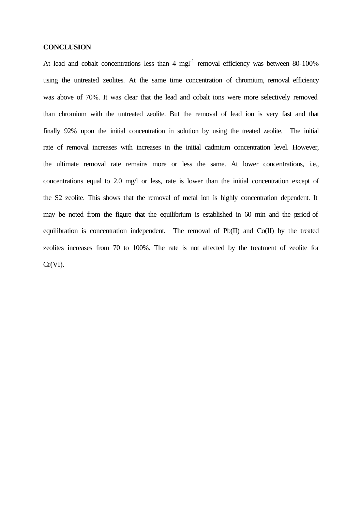## **CONCLUSION**

At lead and cobalt concentrations less than  $4 \text{ mgl}^{-1}$  removal efficiency was between 80-100% using the untreated zeolites. At the same time concentration of chromium, removal efficiency was above of 70%. It was clear that the lead and cobalt ions were more selectively removed than chromium with the untreated zeolite. But the removal of lead ion is very fast and that finally 92% upon the initial concentration in solution by using the treated zeolite. The initial rate of removal increases with increases in the initial cadmium concentration level. However, the ultimate removal rate remains more or less the same. At lower concentrations, i.e., concentrations equal to 2.0 mg/l or less, rate is lower than the initial concentration except of the S2 zeolite. This shows that the removal of metal ion is highly concentration dependent. It may be noted from the figure that the equilibrium is established in 60 min and the period of equilibration is concentration independent. The removal of Pb(II) and Co(II) by the treated zeolites increases from 70 to 100%. The rate is not affected by the treatment of zeolite for Cr(VI).